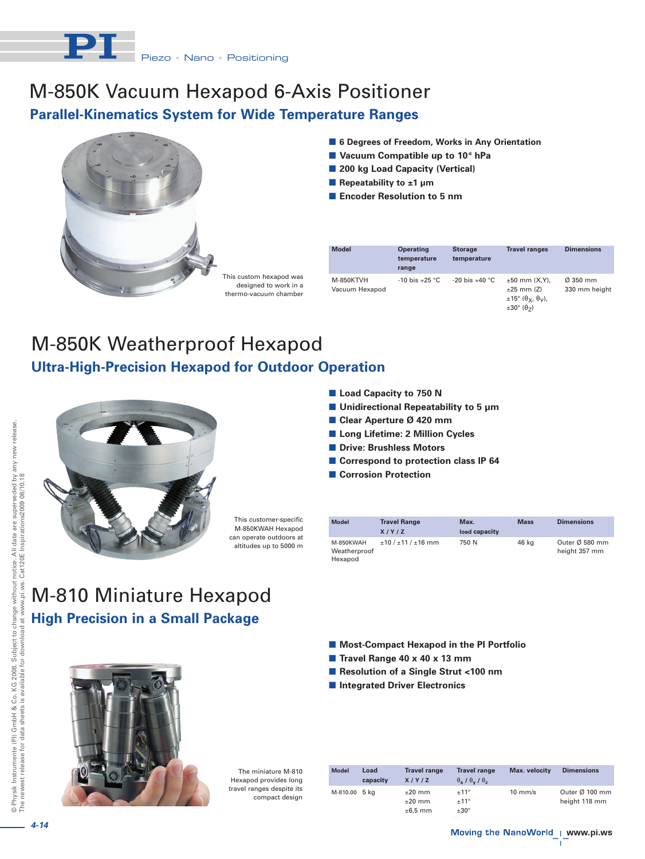

### M-850K Vacuum Hexapod 6-Axis Positioner **Parallel-Kinematics System for Wide Temperature Ranges**



This custom hexapod was designed to work in a thermo-vacuum chamber

| <b>Model</b>                | <b>Operating</b><br>temperature<br>range | <b>Storage</b><br>temperature | <b>Travel ranges</b>                                                                | <b>Dimensions</b>                     |
|-----------------------------|------------------------------------------|-------------------------------|-------------------------------------------------------------------------------------|---------------------------------------|
| M-850KTVH<br>Vacuum Hexapod | $-10$ bis $+25$ °C                       | $-20$ bis $+40$ °C            | $±50$ mm $(X,Y)$ ,<br>$±25$ mm $(Z)$<br>$\pm 15^\circ$ ( $\theta_v$ , $\theta_v$ ), | $\varnothing$ 350 mm<br>330 mm height |

 $\pm 30^\circ$  ( $\theta$ <sub>7</sub>)

■ 6 Degrees of Freedom, Works in Any Orientation

 **Vacuum Compatible up to 10-6 hPa** ■ 200 kg Load Capacity (Vertical)

■ Repeatability to ±1 µm **Encoder Resolution to 5 nm**

### M-850K Weatherproof Hexapod **Ultra-High-Precision Hexapod for Outdoor Operation**



This customer-specific M-850KWAH Hexapod can operate outdoors at altitudes up to 5000 m

# M-810 Miniature Hexapod **High Precision in a Small Package**

- **Load Capacity to 750 N**
- **Unidirectional Repeatability to 5 µm**
- **Clear Aperture Ø 420 mm**
- **Long Lifetime: 2 Million Cycles**
- **Drive: Brushless Motors**
- Correspond to protection class IP 64
- **Corrosion Protection**

| <b>Model</b>                         | <b>Travel Range</b><br>X/Y/Z | Max.<br>load capacity | <b>Mass</b> | <b>Dimensions</b>                           |
|--------------------------------------|------------------------------|-----------------------|-------------|---------------------------------------------|
| M-850KWAH<br>Weatherproof<br>Hexapod | $±10/±11/±16$ mm             | 750 N                 | 46 kg       | Outer $\varnothing$ 580 mm<br>height 357 mm |

- Most-Compact Hexapod in the PI Portfolio
- **Travel Range 40 x 40 x 13 mm**
- Resolution of a Single Strut <100 nm
- **Integrated Driver Electronics**



The miniature M-810 Hexapod provides long travel ranges despite its compact design

| <b>Model</b>  | Load     | <b>Travel range</b> | <b>Travel range</b>                  | <b>Max.</b> velocity | <b>Dimensions</b>          |
|---------------|----------|---------------------|--------------------------------------|----------------------|----------------------------|
|               | capacity | X/Y/Z               | $\theta_x$ / $\theta_v$ / $\theta_z$ |                      |                            |
| M-810.00 5 kg |          | $±20$ mm            | ±11°                                 | $10 \text{ mm/s}$    | Outer $\varnothing$ 100 mm |
|               |          | $±20$ mm            | ±11°                                 |                      | height 118 mm              |
|               |          | $\pm 6.5$ mm        | $±30^{\circ}$                        |                      |                            |